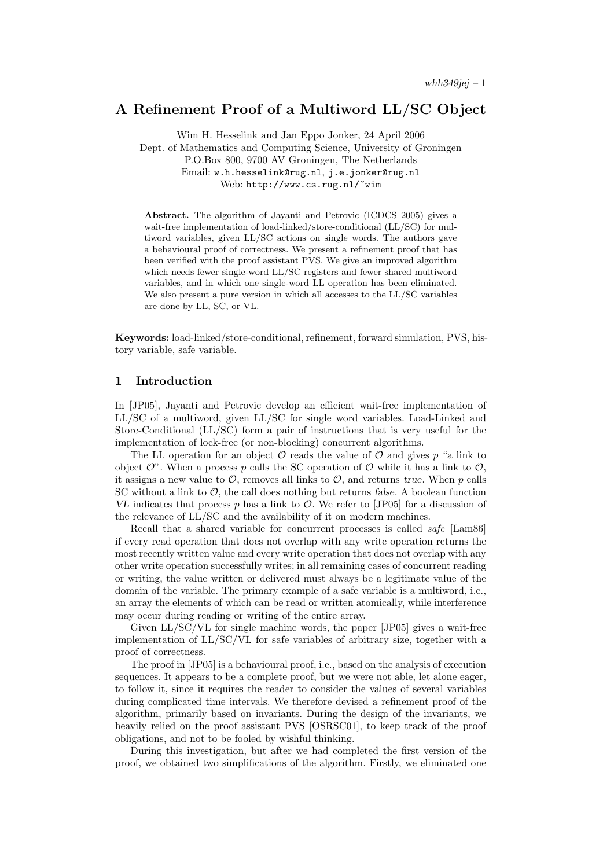# A Refinement Proof of a Multiword LL/SC Object

Wim H. Hesselink and Jan Eppo Jonker, 24 April 2006 Dept. of Mathematics and Computing Science, University of Groningen P.O.Box 800, 9700 AV Groningen, The Netherlands Email: w.h.hesselink@rug.nl, j.e.jonker@rug.nl Web: http://www.cs.rug.nl/~wim

Abstract. The algorithm of Jayanti and Petrovic (ICDCS 2005) gives a wait-free implementation of load-linked/store-conditional (LL/SC) for multiword variables, given LL/SC actions on single words. The authors gave a behavioural proof of correctness. We present a refinement proof that has been verified with the proof assistant PVS. We give an improved algorithm which needs fewer single-word LL/SC registers and fewer shared multiword variables, and in which one single-word LL operation has been eliminated. We also present a pure version in which all accesses to the LL/SC variables are done by LL, SC, or VL.

Keywords: load-linked/store-conditional, refinement, forward simulation, PVS, history variable, safe variable.

## 1 Introduction

In [JP05], Jayanti and Petrovic develop an efficient wait-free implementation of LL/SC of a multiword, given LL/SC for single word variables. Load-Linked and Store-Conditional (LL/SC) form a pair of instructions that is very useful for the implementation of lock-free (or non-blocking) concurrent algorithms.

The LL operation for an object  $\mathcal O$  reads the value of  $\mathcal O$  and gives p "a link to object  $\mathcal{O}$ ". When a process p calls the SC operation of  $\mathcal{O}$  while it has a link to  $\mathcal{O}$ , it assigns a new value to  $\mathcal{O}$ , removes all links to  $\mathcal{O}$ , and returns true. When p calls SC without a link to  $\mathcal{O}$ , the call does nothing but returns false. A boolean function VL indicates that process p has a link to  $\mathcal{O}$ . We refer to [JP05] for a discussion of the relevance of LL/SC and the availability of it on modern machines.

Recall that a shared variable for concurrent processes is called safe [Lam86] if every read operation that does not overlap with any write operation returns the most recently written value and every write operation that does not overlap with any other write operation successfully writes; in all remaining cases of concurrent reading or writing, the value written or delivered must always be a legitimate value of the domain of the variable. The primary example of a safe variable is a multiword, i.e., an array the elements of which can be read or written atomically, while interference may occur during reading or writing of the entire array.

Given LL/SC/VL for single machine words, the paper [JP05] gives a wait-free implementation of LL/SC/VL for safe variables of arbitrary size, together with a proof of correctness.

The proof in [JP05] is a behavioural proof, i.e., based on the analysis of execution sequences. It appears to be a complete proof, but we were not able, let alone eager, to follow it, since it requires the reader to consider the values of several variables during complicated time intervals. We therefore devised a refinement proof of the algorithm, primarily based on invariants. During the design of the invariants, we heavily relied on the proof assistant PVS [OSRSC01], to keep track of the proof obligations, and not to be fooled by wishful thinking.

During this investigation, but after we had completed the first version of the proof, we obtained two simplifications of the algorithm. Firstly, we eliminated one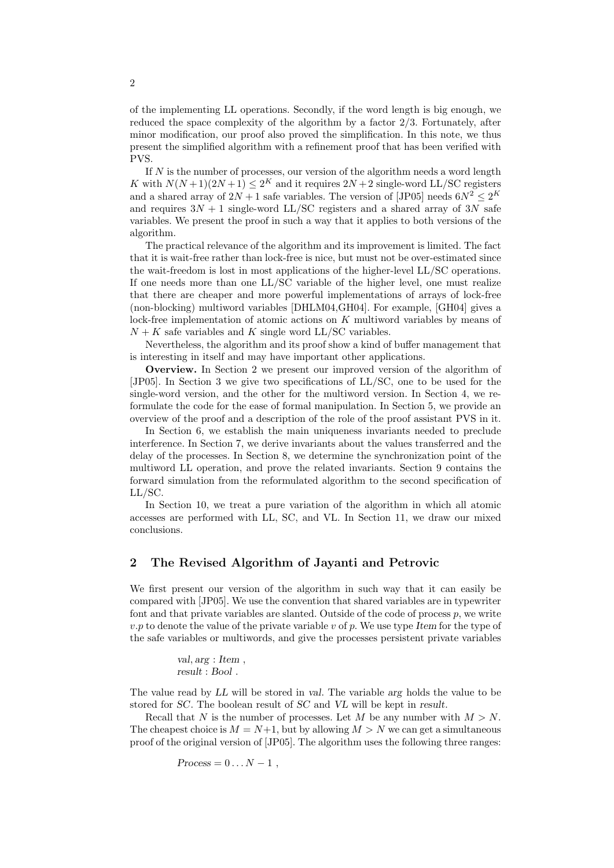of the implementing LL operations. Secondly, if the word length is big enough, we reduced the space complexity of the algorithm by a factor 2/3. Fortunately, after minor modification, our proof also proved the simplification. In this note, we thus present the simplified algorithm with a refinement proof that has been verified with PVS.

If  $N$  is the number of processes, our version of the algorithm needs a word length K with  $N(N+1)(2N+1) \leq 2^K$  and it requires  $2N+2$  single-word LL/SC registers and a shared array of  $2N + 1$  safe variables. The version of [JP05] needs  $6N^2 \leq 2^K$ and requires  $3N + 1$  single-word LL/SC registers and a shared array of  $3N$  safe variables. We present the proof in such a way that it applies to both versions of the algorithm.

The practical relevance of the algorithm and its improvement is limited. The fact that it is wait-free rather than lock-free is nice, but must not be over-estimated since the wait-freedom is lost in most applications of the higher-level LL/SC operations. If one needs more than one LL/SC variable of the higher level, one must realize that there are cheaper and more powerful implementations of arrays of lock-free (non-blocking) multiword variables [DHLM04,GH04]. For example, [GH04] gives a lock-free implementation of atomic actions on K multiword variables by means of  $N + K$  safe variables and K single word LL/SC variables.

Nevertheless, the algorithm and its proof show a kind of buffer management that is interesting in itself and may have important other applications.

Overview. In Section 2 we present our improved version of the algorithm of [JP05]. In Section 3 we give two specifications of LL/SC, one to be used for the single-word version, and the other for the multiword version. In Section 4, we reformulate the code for the ease of formal manipulation. In Section 5, we provide an overview of the proof and a description of the role of the proof assistant PVS in it.

In Section 6, we establish the main uniqueness invariants needed to preclude interference. In Section 7, we derive invariants about the values transferred and the delay of the processes. In Section 8, we determine the synchronization point of the multiword LL operation, and prove the related invariants. Section 9 contains the forward simulation from the reformulated algorithm to the second specification of LL/SC.

In Section 10, we treat a pure variation of the algorithm in which all atomic accesses are performed with LL, SC, and VL. In Section 11, we draw our mixed conclusions.

## 2 The Revised Algorithm of Jayanti and Petrovic

We first present our version of the algorithm in such way that it can easily be compared with [JP05]. We use the convention that shared variables are in typewriter font and that private variables are slanted. Outside of the code of process  $p$ , we write  $v.p$  to denote the value of the private variable v of p. We use type Item for the type of the safe variables or multiwords, and give the processes persistent private variables

> val, arg : Item , result : Bool .

The value read by LL will be stored in val. The variable arg holds the value to be stored for SC. The boolean result of SC and VL will be kept in result.

Recall that N is the number of processes. Let M be any number with  $M > N$ . The cheapest choice is  $M = N+1$ , but by allowing  $M > N$  we can get a simultaneous proof of the original version of [JP05]. The algorithm uses the following three ranges:

 $Process = 0 \dots N-1$ ,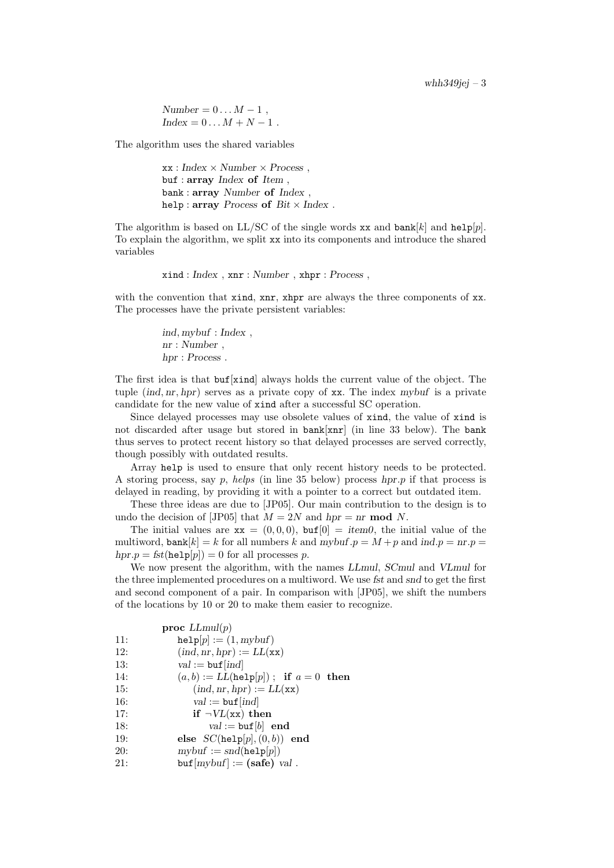Number = 
$$
0...M-1
$$
,  
Index =  $0...M+N-1$ .

The algorithm uses the shared variables

 $xx : Index \times Number \times Process$ . buf : array Index of Item , bank : array Number of Index , help : array Process of Bit  $\times$  Index.

The algorithm is based on LL/SC of the single words xx and  $\text{bank}[k]$  and  $\text{help}[p]$ . To explain the algorithm, we split xx into its components and introduce the shared variables

$$
\texttt{xind}: Index , \texttt{xnr}: Number , \texttt{xhpr}: Process ,
$$

with the convention that xind, xnr, xhpr are always the three components of xx. The processes have the private persistent variables:

> ind, mybuf : Index , nr : Number , hpr : Process.

The first idea is that buf[xind] always holds the current value of the object. The tuple  $(\text{ind}, \text{nr}, \text{hpr})$  serves as a private copy of xx. The index mybuf is a private candidate for the new value of xind after a successful SC operation.

Since delayed processes may use obsolete values of xind, the value of xind is not discarded after usage but stored in bank[xnr] (in line 33 below). The bank thus serves to protect recent history so that delayed processes are served correctly, though possibly with outdated results.

Array help is used to ensure that only recent history needs to be protected. A storing process, say  $p$ , helps (in line 35 below) process hpr.p if that process is delayed in reading, by providing it with a pointer to a correct but outdated item.

These three ideas are due to [JP05]. Our main contribution to the design is to undo the decision of [JP05] that  $M = 2N$  and  $hpr = nr$  mod N.

The initial values are  $xx = (0, 0, 0)$ ,  $buf[0] = item0$ , the initial value of the multiword, bank $[k] = k$  for all numbers k and mybuf  $p = M + p$  and ind  $p = nr$ .  $hpr.p = fst(help[p]) = 0$  for all processes p.

We now present the algorithm, with the names LLmul, SCmul and VLmul for the three implemented procedures on a multiword. We use fst and snd to get the first and second component of a pair. In comparison with [JP05], we shift the numbers of the locations by 10 or 20 to make them easier to recognize.

|     | <b>proc</b> $LLmul(p)$                            |
|-----|---------------------------------------------------|
| 11: | $\mathtt{help}[p] := (1, mybuf)$                  |
| 12: | $(ind, nr, hpr) := LL(xx)$                        |
| 13: | $val := \text{buf}[ind]$                          |
| 14: | $(a,b) := LL(\text{help}[p])$ ; if $a = 0$ then   |
| 15: | $(ind, nr, hpr) := LL(xx)$                        |
| 16: | $val := \text{buf}[ind]$                          |
| 17: | if $\neg \text{VL}(\text{xx})$ then               |
| 18: | $val := \text{buf}[b]$ end                        |
| 19: | else $SC(help[p], (0, b))$ end                    |
| 20: | $mybuf := \text{snd}(\texttt{help}[p])$           |
| 21: | $\text{buf}[mybuf] := (\text{safe}) \text{ val}.$ |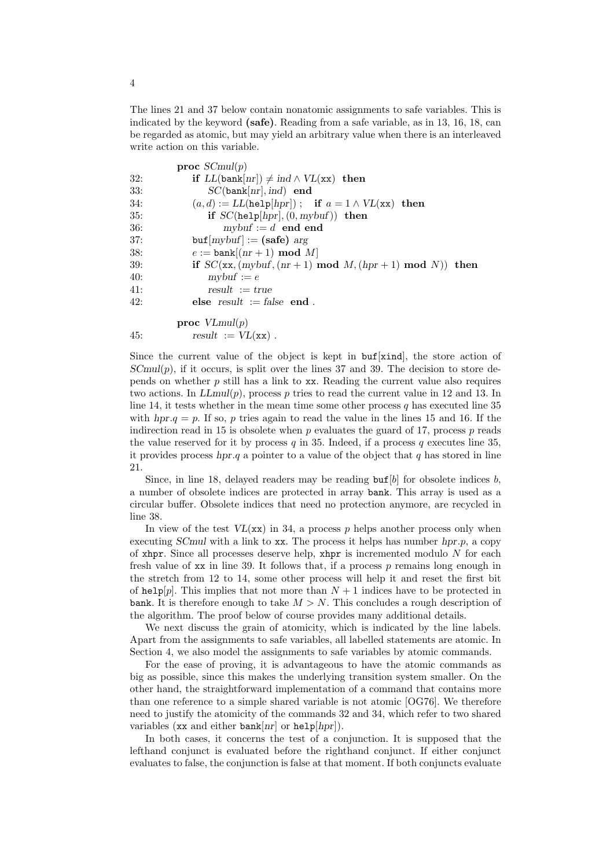The lines 21 and 37 below contain nonatomic assignments to safe variables. This is indicated by the keyword (safe). Reading from a safe variable, as in 13, 16, 18, can be regarded as atomic, but may yield an arbitrary value when there is an interleaved write action on this variable.

|     | <b>proc</b> $SCmul(p)$                                                      |
|-----|-----------------------------------------------------------------------------|
| 32: | if $LL(bank[nr]) \neq ind \wedge VL(xx)$ then                               |
| 33: | $SC(bank[nr], ind)$ end                                                     |
| 34: | $(a, d) := LL(\text{help}[hpr])$ ; if $a = 1 \wedge VL(xx)$ then            |
| 35: | if $SC(help[hpr], (0, mybuf))$ then                                         |
| 36: | $mybuf := d$ end end                                                        |
| 37: | $\text{buf}[mybuf] := (\text{safe}) \text{ arg}$                            |
| 38: | $e := \text{bank}[(nr + 1) \text{ mod } M]$                                 |
| 39: | if $SC(xx, (mybuf, (nr + 1) \text{ mod } M, (hpr + 1) \text{ mod } N)$ then |
| 40: | $mybuf := e$                                                                |
| 41: | $result := true$                                                            |
| 42: | else $result := false$ end.                                                 |
|     | <b>proc</b> $VLmul(p)$                                                      |

45: 
$$
\text{PIOC V.} \quad \text{PIII.} \quad \text{PIII.} \quad \text{PIII.} \quad \text{PIII.} \quad \text{PIII.} \quad \text{PIII.} \quad \text{PIII.} \quad \text{PIII.} \quad \text{PIII.} \quad \text{PIII.} \quad \text{PIII.} \quad \text{PIII.} \quad \text{PIII.} \quad \text{PIII.} \quad \text{PIII.} \quad \text{PIII.} \quad \text{PIII.} \quad \text{PIII.} \quad \text{PIII.} \quad \text{PIII.} \quad \text{PIII.} \quad \text{PIII.} \quad \text{PIII.} \quad \text{PIII.} \quad \text{PIII.} \quad \text{PIII.} \quad \text{PIII.} \quad \text{PIII.} \quad \text{PIII.} \quad \text{PIII.} \quad \text{PIII.} \quad \text{PIII.} \quad \text{PIII.} \quad \text{PIII.} \quad \text{PIII.} \quad \text{PIII.} \quad \text{PIII.} \quad \text{PIII.} \quad \text{PIII.} \quad \text{PIII.} \quad \text{PIII.} \quad \text{PIII.} \quad \text{PIII.} \quad \text{PIII.} \quad \text{PIII.} \quad \text{PIII.} \quad \text{PIII.} \quad \text{PIII.} \quad \text{PIII.} \quad \text{PIII.} \quad \text{PIII.} \quad \text{PIII.} \quad \text{PIII.} \quad \text{PIII.} \quad \text{PIII.} \quad \text{PIII.} \quad \text{PIII.} \quad \text{PIII.} \quad \text{PIII.} \quad \text{PIII.} \quad \text{PIII.} \quad \text{PIII.} \quad \text{PIII.} \quad \text{PIII.} \quad \text{PIII.} \quad \text{PIII.} \quad \text{PIII.} \quad \text{PIII.} \quad \text{PIII.} \quad \text{PIII.} \quad \text{PIII.} \quad \text{PIII.} \quad \text{PIII.} \quad \text{PIII.} \quad \text{PIII.} \quad \text{PIII.} \quad \text{PIII.} \quad \text{PIII.} \quad \text{PIII.} \quad \text{PIII.} \quad \text{PIII.} \quad \text{PIII.} \quad \text{PIII.} \
$$

Since the current value of the object is kept in  $\text{buf}[\text{xind}]$ , the store action of  $SCmul(p)$ , if it occurs, is split over the lines 37 and 39. The decision to store depends on whether  $p$  still has a link to  $xx$ . Reading the current value also requires two actions. In  $LLmul(p)$ , process p tries to read the current value in 12 and 13. In line 14, it tests whether in the mean time some other process  $q$  has executed line 35 with  $hpr.q = p$ . If so, p tries again to read the value in the lines 15 and 16. If the indirection read in 15 is obsolete when  $p$  evaluates the guard of 17, process  $p$  reads the value reserved for it by process  $q$  in 35. Indeed, if a process  $q$  executes line 35, it provides process hpr.q a pointer to a value of the object that  $q$  has stored in line 21.

Since, in line 18, delayed readers may be reading  $\text{buf}[b]$  for obsolete indices b, a number of obsolete indices are protected in array bank. This array is used as a circular buffer. Obsolete indices that need no protection anymore, are recycled in line 38.

In view of the test  $VL(xx)$  in 34, a process p helps another process only when executing SCmul with a link to  $xx$ . The process it helps has number hpr.p, a copy of  $x$ hpr. Since all processes deserve help,  $x$ hpr is incremented modulo N for each fresh value of  $xx$  in line 39. It follows that, if a process  $p$  remains long enough in the stretch from 12 to 14, some other process will help it and reset the first bit of help[p]. This implies that not more than  $N + 1$  indices have to be protected in bank. It is therefore enough to take  $M > N$ . This concludes a rough description of the algorithm. The proof below of course provides many additional details.

We next discuss the grain of atomicity, which is indicated by the line labels. Apart from the assignments to safe variables, all labelled statements are atomic. In Section 4, we also model the assignments to safe variables by atomic commands.

For the ease of proving, it is advantageous to have the atomic commands as big as possible, since this makes the underlying transition system smaller. On the other hand, the straightforward implementation of a command that contains more than one reference to a simple shared variable is not atomic [OG76]. We therefore need to justify the atomicity of the commands 32 and 34, which refer to two shared variables (xx and either  $bank[nr]$  or  $help[hpr]$ ).

In both cases, it concerns the test of a conjunction. It is supposed that the lefthand conjunct is evaluated before the righthand conjunct. If either conjunct evaluates to false, the conjunction is false at that moment. If both conjuncts evaluate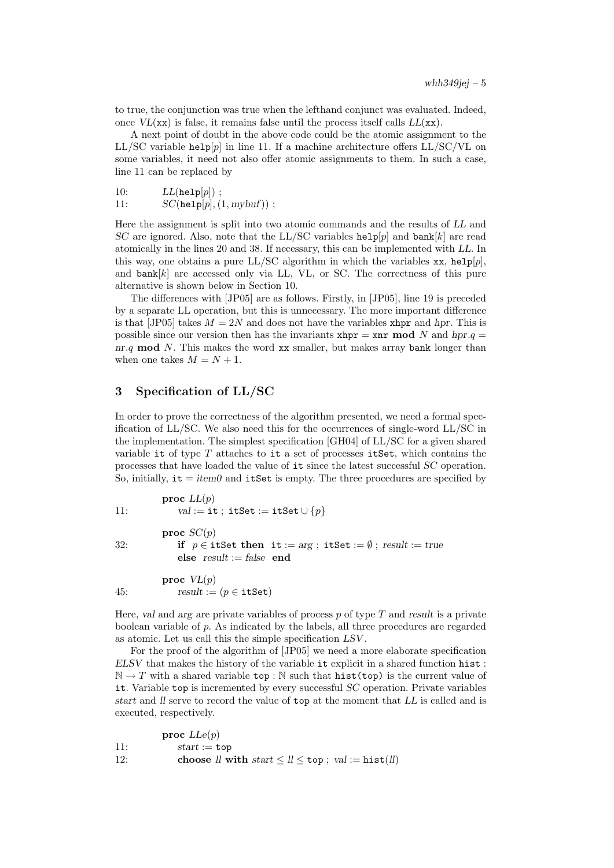to true, the conjunction was true when the lefthand conjunct was evaluated. Indeed, once  $VL(xx)$  is false, it remains false until the process itself calls  $LL(xx)$ .

A next point of doubt in the above code could be the atomic assignment to the LL/SC variable help $[p]$  in line 11. If a machine architecture offers LL/SC/VL on some variables, it need not also offer atomic assignments to them. In such a case, line 11 can be replaced by

| 10: | $LL(\mathtt{help}[p])$ ; |
|-----|--------------------------|
|-----|--------------------------|

11:  $SC(help[p], (1, mybuf))$ ;

Here the assignment is split into two atomic commands and the results of LL and SC are ignored. Also, note that the LL/SC variables help[p] and bank[k] are read atomically in the lines 20 and 38. If necessary, this can be implemented with LL. In this way, one obtains a pure LL/SC algorithm in which the variables  $xx$ , help[p], and  $\text{bank}[k]$  are accessed only via LL, VL, or SC. The correctness of this pure alternative is shown below in Section 10.

The differences with [JP05] are as follows. Firstly, in [JP05], line 19 is preceded by a separate LL operation, but this is unnecessary. The more important difference is that [JP05] takes  $M = 2N$  and does not have the variables xhp and hpr. This is possible since our version then has the invariants  $x$ hpr = xnr mod N and hpr.q =  $nr,q \mod N$ . This makes the word xx smaller, but makes array bank longer than when one takes  $M = N + 1$ .

## 3 Specification of LL/SC

In order to prove the correctness of the algorithm presented, we need a formal specification of LL/SC. We also need this for the occurrences of single-word LL/SC in the implementation. The simplest specification [GH04] of LL/SC for a given shared variable it of type  $T$  attaches to it a set of processes it Set, which contains the processes that have loaded the value of it since the latest successful SC operation. So, initially, it = item0 and itSet is empty. The three procedures are specified by

proc  $LL(p)$ 11:  $val := it$ ; itSet := itSet  $\cup \{p\}$ 

proc  $SC(p)$ 32: if  $p \in \text{itSet}$  then it := arg; itSet :=  $\emptyset$ ; result := true else  $result := false$  end

proc  $VL(p)$ 45:  $result := (p \in \text{itSet})$ 

Here, val and arg are private variables of process  $p$  of type  $T$  and result is a private boolean variable of p. As indicated by the labels, all three procedures are regarded as atomic. Let us call this the simple specification LSV.

For the proof of the algorithm of [JP05] we need a more elaborate specification ELSV that makes the history of the variable it explicit in a shared function hist :  $\mathbb{N} \to T$  with a shared variable top : N such that hist(top) is the current value of it. Variable top is incremented by every successful SC operation. Private variables start and ll serve to record the value of top at the moment that LL is called and is executed, respectively.

|     | proc $LLe(p)$                                                    |
|-----|------------------------------------------------------------------|
| 11: | $start := top$                                                   |
| 12: | choose <i>ll</i> with $start \leq l \leq top$ ; $val := hist(l)$ |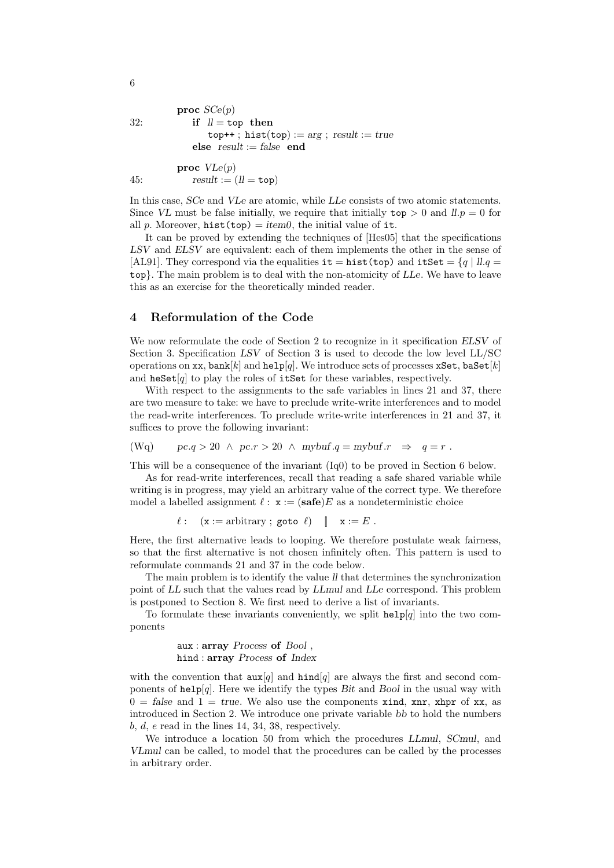132:

\nif 
$$
ll = \text{top}
$$
 then

\n132:

\n14:  $\text{top++}$ ;  $\text{hist}(\text{top}) := \text{arg}$ ;  $\text{result} := \text{true}$ 

\n15:  $\text{max} = \text{rank} \cdot \text{length} = \text{true}$ 

\n16:  $\text{max} = \text{rank} \cdot \text{length} = \text{true}$ 

\n17:  $\text{max} = \text{rank} \cdot \text{length} = \text{true}$ 

\n18:  $\text{max} = \text{rank} \cdot \text{length} = \text{true}$ 

\n19:  $\text{max} = \text{rank} \cdot \text{length} = \text{true}$ 

\n10:  $\text{max} = \text{rank} \cdot \text{length} = \text{true}$ 

\n11:  $\text{max} = \text{rank} \cdot \text{length} = \text{true}$ 

\n12:  $\text{max} = \text{rank} \cdot \text{length} = \text{true}$ 

\n13:  $\text{max} = \text{rank} \cdot \text{length} = \text{true}$ 

\n14:  $\text{max} = \text{rank} \cdot \text{length} = \text{true}$ 

\n15:  $\text{max} = \text{rank} \cdot \text{length} = \text{true}$ 

\n16:  $\text{max} = \text{rank} \cdot \text{length} = \text{true}$ 

\n17:  $\text{max} = \text{rank} \cdot \text{length} = \text{true}$ 

\n18:  $\text{max} = \text{rank} \cdot \text{length} = \text{true}$ 

\n19:  $\text{max} = \text{rank} \cdot \text{length} = \text{true}$ 

\n10:  $\text{max} = \text{rank} \cdot \text{length} = \text{true}$ 

\n11:  $\text{max} = \text{rank} \cdot \text{length} = \text{true}$ 

\n12:  $\text{max} = \text{rank} \cdot \text{length} = \text{true}$ 

\n13:  $\text{max} = \text{rank} \cdot \text{length} =$ 

45: 
$$
result := (ll = \text{top})
$$

In this case, SCe and VLe are atomic, while LLe consists of two atomic statements. Since VL must be false initially, we require that initially  $top > 0$  and  $ll p = 0$  for all p. Moreover, hist(top) = item0, the initial value of it.

It can be proved by extending the techniques of [Hes05] that the specifications LSV and ELSV are equivalent: each of them implements the other in the sense of [AL91]. They correspond via the equalities  $it = hist(top)$  and  $itSet = \{q | ll.q =$ top}. The main problem is to deal with the non-atomicity of LLe. We have to leave this as an exercise for the theoretically minded reader.

## 4 Reformulation of the Code

We now reformulate the code of Section 2 to recognize in it specification ELSV of Section 3. Specification LSV of Section 3 is used to decode the low level LL/SC operations on xx, bank[k] and help[q]. We introduce sets of processes xSet, baSet[k] and heSet[q] to play the roles of itSet for these variables, respectively.

With respect to the assignments to the safe variables in lines 21 and 37, there are two measure to take: we have to preclude write-write interferences and to model the read-write interferences. To preclude write-write interferences in 21 and 37, it suffices to prove the following invariant:

(Wq)  $pc.q > 20 \land pc.r > 20 \land mybuf.q = mybuf.r \Rightarrow q = r.$ 

This will be a consequence of the invariant (Iq0) to be proved in Section 6 below.

As for read-write interferences, recall that reading a safe shared variable while writing is in progress, may yield an arbitrary value of the correct type. We therefore model a labelled assignment  $\ell : x := (safe)E$  as a nondeterministic choice

 $\ell :$   $(x :=$  arbitrary; goto  $\ell$   $\left[ \begin{array}{cc} x := E \end{array} \right]$ .

Here, the first alternative leads to looping. We therefore postulate weak fairness, so that the first alternative is not chosen infinitely often. This pattern is used to reformulate commands 21 and 37 in the code below.

The main problem is to identify the value  $ll$  that determines the synchronization point of LL such that the values read by LLmul and LLe correspond. This problem is postponed to Section 8. We first need to derive a list of invariants.

To formulate these invariants conveniently, we split  $\text{help}[q]$  into the two components

> aux : array Process of Bool , hind : array Process of Index

with the convention that  $\text{aux}[q]$  and  $\text{hind}[q]$  are always the first and second components of  $\text{help}[q]$ . Here we identify the types Bit and Bool in the usual way with  $0 = \text{false}$  and  $1 = \text{true}$ . We also use the components xind, xnr, xhpr of xx, as introduced in Section 2. We introduce one private variable bb to hold the numbers b, d, e read in the lines 14, 34, 38, respectively.

We introduce a location 50 from which the procedures *LLmul, SCmul,* and VLmul can be called, to model that the procedures can be called by the processes in arbitrary order.

6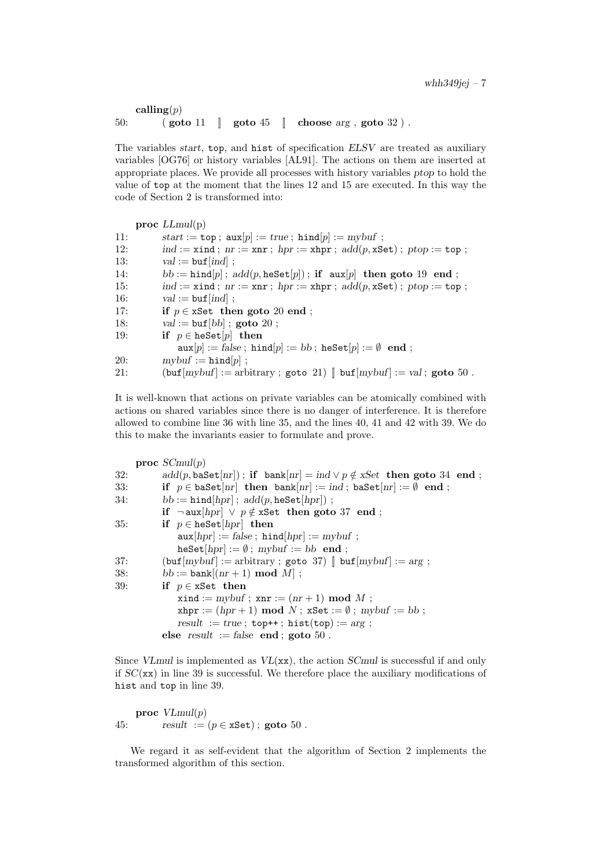calling $(p)$ 50: (goto 11 | goto 45 | choose  $\arg$ , goto 32).

The variables start, top, and hist of specification ELSV are treated as auxiliary variables [OG76] or history variables [AL91]. The actions on them are inserted at appropriate places. We provide all processes with history variables ptop to hold the value of top at the moment that the lines 12 and 15 are executed. In this way the code of Section 2 is transformed into:

|     | <b>proc</b> $LLmul(p)$                                                                                 |
|-----|--------------------------------------------------------------------------------------------------------|
| 11: | $start := \texttt{top}$ ; $aux[p] := true$ ; $hind[p] := mybuf$ ;                                      |
| 12: | $ind := xind$ ; $nr := xnr$ ; $hpr := xhpr$ ; $add(p, xSet)$ ; $ptop := top$ ;                         |
| 13: | $val := \text{buf}[ind]$ ;                                                                             |
| 14: | $bb := \text{hind}[p]$ ; $add(p, \text{height}[p])$ ; if $aux[p]$ then goto 19 end;                    |
| 15: | $ind := xind$ ; $nr := xnr$ ; $hpr := xhpr$ ; $add(p, xSet)$ ; $ptop := top$ ;                         |
| 16: | $val := \text{buf}[ind]$ ;                                                                             |
| 17: | if $p \in x$ Set then goto 20 end;                                                                     |
| 18: | $val := \text{buf}[bb]$ ; goto 20;                                                                     |
| 19: | if $p \in \text{heSet}[p]$ then                                                                        |
|     | $\text{aux}[p] := \text{false}$ ; $\text{hind}[p] := bb$ ; $\text{heSet}[p] := \emptyset$ end;         |
| 20: | $mybuf := \text{hind}[p]$ ;                                                                            |
| 21: | $[\text{buf}[mybuf] := \text{arbitrary}$ ; goto 21) $\parallel$ buf $[mybuf] := \text{val}$ ; goto 50. |

It is well-known that actions on private variables can be atomically combined with actions on shared variables since there is no danger of interference. It is therefore allowed to combine line 36 with line 35, and the lines 40, 41 and 42 with 39. We do this to make the invariants easier to formulate and prove.

|            | <b>proc</b> $SCmul(p)$                                                                           |
|------------|--------------------------------------------------------------------------------------------------|
| 32:        | $add(p, \texttt{baset}[nr])$ ; if $\texttt{bank}[nr] = ind \vee p \notin xSet$ then goto 34 end; |
| <b>33:</b> | if $p \in \text{baset}[nr]$ then $\text{bank}[nr] := ind$ ; $\text{baset}[nr] := \emptyset$ end; |
| 34:        | $bb := \text{hind}[\text{hpr}]$ ; $add(p, \text{heSet}[\text{hpr}])$ ;                           |
|            | if $\neg$ aux [hpr] $\lor$ p $\notin$ xSet then goto 37 end;                                     |
| <b>35:</b> | if $p \in \text{heSet}[hpr]$ then                                                                |
|            | $\text{aux}[hpr] := \text{false}$ ; hind $[hpr] := \text{mybuf}$ ;                               |
|            | $\texttt{heSet}[hpr] := \emptyset$ ; $mybuf := bb$ end;                                          |
| -37:       | $(\text{buf}[mybuf] := \text{arbitrary}$ ; goto 37) $\parallel$ buf $[mybuf] := \text{arg}$ ;    |
| 38:        | $bb := \text{bank}[(nr + 1) \text{ mod } M];$                                                    |
| <b>39:</b> | if $p \in x$ Set then                                                                            |
|            | xind := mybuf ; xnr := $(nr+1)$ mod M ;                                                          |
|            | $x$ hpr := $(hpr + 1)$ mod N; xSet := $\emptyset$ ; mybuf := bb;                                 |
|            | $result := true$ ; top++; hist(top) := arg;                                                      |
|            | else result := false end ; goto 50.                                                              |
|            |                                                                                                  |

Since VLmul is implemented as  $VL(xx)$ , the action SCmul is successful if and only if  $SC(\mathbf{xx})$  in line 39 is successful. We therefore place the auxiliary modifications of hist and top in line 39.

proc  $VLmul(p)$ 45: result :=  $(p \in xSet)$ ; goto 50.

We regard it as self-evident that the algorithm of Section 2 implements the transformed algorithm of this section.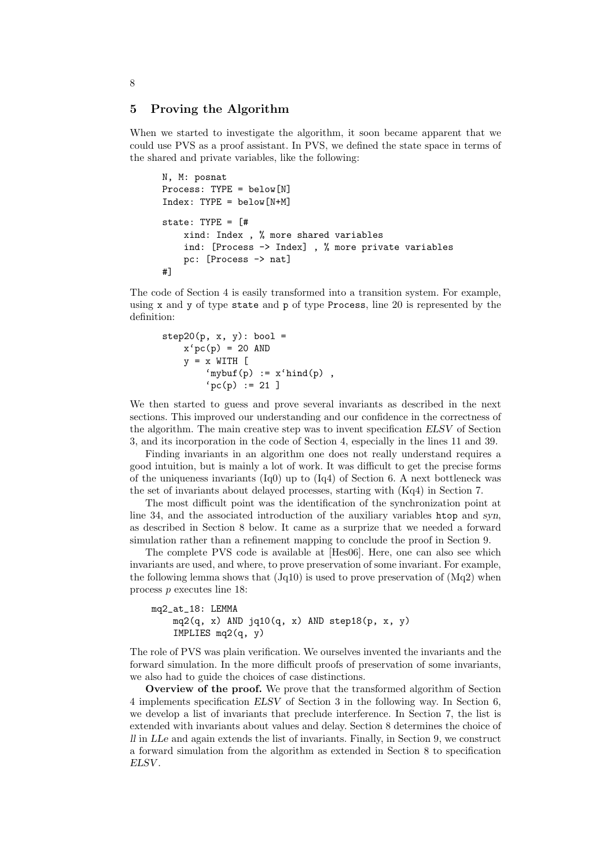#### 5 Proving the Algorithm

When we started to investigate the algorithm, it soon became apparent that we could use PVS as a proof assistant. In PVS, we defined the state space in terms of the shared and private variables, like the following:

```
N, M: posnat
Process: TYPE = below[N]
Index: TYPE = below[N+M]state: TYPE = [#
   xind: Index , % more shared variables
    ind: [Process -> Index] , % more private variables
    pc: [Process -> nat]
#]
```
The code of Section 4 is easily transformed into a transition system. For example, using x and y of type state and p of type Process, line 20 is represented by the definition:

$$
step20(p, x, y): bool =
$$
  
\n
$$
x'pc(p) = 20 AND
$$
  
\n
$$
y = x WITH [
$$
  
\n
$$
`mybuf(p) := x'hind(p) ,
$$
  
\n
$$
`pc(p) := 21 ]
$$

We then started to guess and prove several invariants as described in the next sections. This improved our understanding and our confidence in the correctness of the algorithm. The main creative step was to invent specification ELSV of Section 3, and its incorporation in the code of Section 4, especially in the lines 11 and 39.

Finding invariants in an algorithm one does not really understand requires a good intuition, but is mainly a lot of work. It was difficult to get the precise forms of the uniqueness invariants (Iq0) up to (Iq4) of Section 6. A next bottleneck was the set of invariants about delayed processes, starting with (Kq4) in Section 7.

The most difficult point was the identification of the synchronization point at line 34, and the associated introduction of the auxiliary variables htop and syn, as described in Section 8 below. It came as a surprize that we needed a forward simulation rather than a refinement mapping to conclude the proof in Section 9.

The complete PVS code is available at [Hes06]. Here, one can also see which invariants are used, and where, to prove preservation of some invariant. For example, the following lemma shows that  $(Jq10)$  is used to prove preservation of  $(Mq2)$  when process p executes line 18:

```
mq2_at_18: LEMMA
   mq2(q, x) AND jq10(q, x) AND step18(p, x, y)IMPLIES mq2(q, y)
```
The role of PVS was plain verification. We ourselves invented the invariants and the forward simulation. In the more difficult proofs of preservation of some invariants, we also had to guide the choices of case distinctions.

Overview of the proof. We prove that the transformed algorithm of Section 4 implements specification ELSV of Section 3 in the following way. In Section 6, we develop a list of invariants that preclude interference. In Section 7, the list is extended with invariants about values and delay. Section 8 determines the choice of ll in LLe and again extends the list of invariants. Finally, in Section 9, we construct a forward simulation from the algorithm as extended in Section 8 to specification ELSV.

8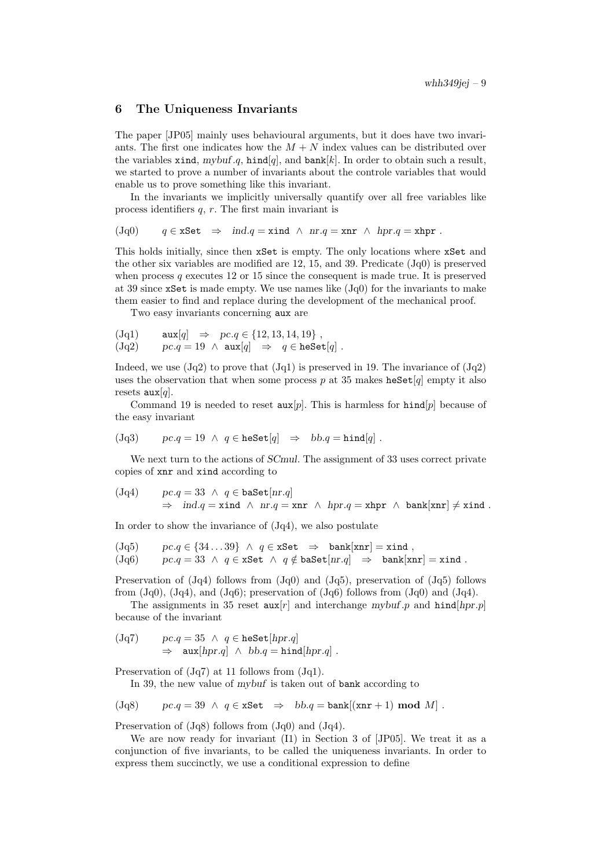#### 6 The Uniqueness Invariants

The paper [JP05] mainly uses behavioural arguments, but it does have two invariants. The first one indicates how the  $M + N$  index values can be distributed over the variables xind, mybuf q, hind[q], and bank[k]. In order to obtain such a result, we started to prove a number of invariants about the controle variables that would enable us to prove something like this invariant.

In the invariants we implicitly universally quantify over all free variables like process identifiers  $q, r$ . The first main invariant is

$$
(Jq0) \t q \in xSet \Rightarrow ind.q = xind \wedge nr.q = xnr \wedge hpr.q = xhpr.
$$

This holds initially, since then xSet is empty. The only locations where xSet and the other six variables are modified are 12, 15, and 39. Predicate (Jq0) is preserved when process  $q$  executes 12 or 15 since the consequent is made true. It is preserved at 39 since  $x$ Set is made empty. We use names like  $(Jq0)$  for the invariants to make them easier to find and replace during the development of the mechanical proof.

Two easy invariants concerning aux are

$$
(Jq1) \quad \text{aux}[q] \Rightarrow pc.q \in \{12, 13, 14, 19\},
$$
  

$$
(Jq2) \quad pc.q = 19 \land \text{aux}[q] \Rightarrow q \in \text{heset}[q].
$$

Indeed, we use  $(Jq2)$  to prove that  $(Jq1)$  is preserved in 19. The invariance of  $(Jq2)$ uses the observation that when some process p at 35 makes heset [q] empty it also resets  $\text{aux}[q]$ .

Command 19 is needed to reset  $\text{aux}[p]$ . This is harmless for hind $[p]$  because of the easy invariant

$$
(\text{Jq3}) \qquad pc.q = 19 \ \land \ q \in \text{heSet}[q] \ \ \Rightarrow \ \ \text{bb}.q = \text{hind}[q] \ .
$$

We next turn to the actions of *SCmul*. The assignment of 33 uses correct private copies of xnr and xind according to

$$
(Jq4) \tpc.q = 33 \wedge q \in \text{basSet}[nr.q]
$$
  
\n
$$
\Rightarrow ind.q = xind \wedge nr.q = xnr \wedge hpr.q = xhpr \wedge bank[xnr] \neq xind.
$$

In order to show the invariance of  $(Jq4)$ , we also postulate

$$
(Jq5) \quad pc.q \in \{34...39\} \land q \in x\text{Set} \Rightarrow \text{bank}[\text{xnr}] = \text{xind} ,(Jq6) \quad pc.q = 33 \land q \in x\text{Set} \land q \notin \text{baset}[nr.q] \Rightarrow \text{bank}[\text{xnr}] = \text{xind} .
$$

Preservation of (Jq4) follows from (Jq0) and (Jq5), preservation of (Jq5) follows from  $(Jq0)$ ,  $(Jq4)$ , and  $(Jq6)$ ; preservation of  $(Jq6)$  follows from  $(Jq0)$  and  $(Jq4)$ .

The assignments in 35 reset  $\mathbf{aux}[r]$  and interchange mybuf p and  $\mathbf{hand}[hpr,p]$ because of the invariant

$$
(Jq7) \t pc.q = 35 \wedge q \in \text{heSet}[hpr.q]
$$
  

$$
\Rightarrow \text{aux}[hpr.q] \wedge bb.q = \text{hind}[hpr.q].
$$

Preservation of (Jq7) at 11 follows from (Jq1).

In 39, the new value of mybuf is taken out of bank according to

$$
(\text{Jq8}) \qquad pc.q = 39 \ \land \ q \in \texttt{xSet} \ \ \Rightarrow \ \ \text{bb}.q = \texttt{bank}[(\texttt{xnr} + 1) \text{ mod } M].
$$

Preservation of (Jq8) follows from (Jq0) and (Jq4).

We are now ready for invariant (I1) in Section 3 of [JP05]. We treat it as a conjunction of five invariants, to be called the uniqueness invariants. In order to express them succinctly, we use a conditional expression to define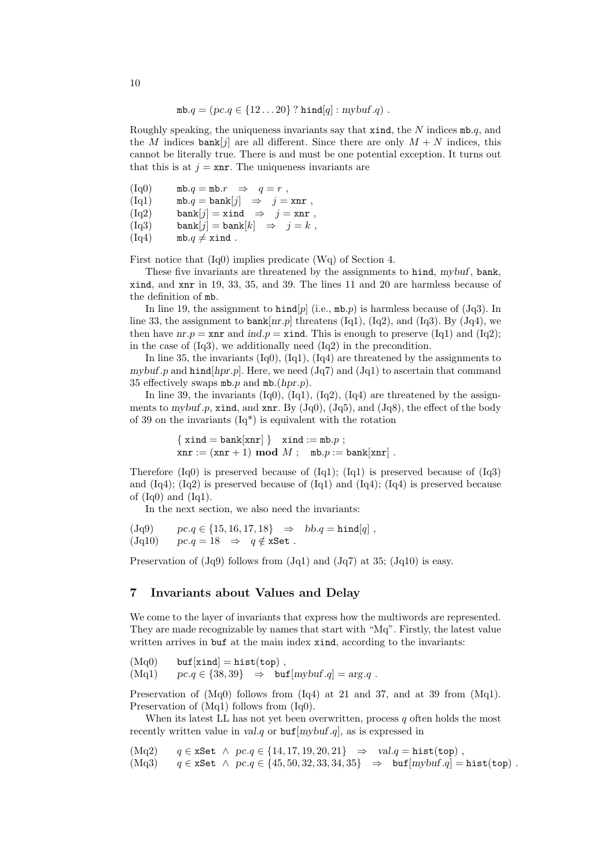mb.
$$
q = (pc.q \in \{12...20\} ? \text{hind}[q]: mybuf.q)
$$
.

Roughly speaking, the uniqueness invariants say that  $x$  indices  $x$ , and the M indices bank[j] are all different. Since there are only  $M + N$  indices, this cannot be literally true. There is and must be one potential exception. It turns out that this is at  $j = \text{snr}$ . The uniqueness invariants are

 $(Iq0)$  mb.q = mb.r  $\Rightarrow$  q = r,  $(Id1)$  mb. $q =$ bank $[j]$   $\Rightarrow$   $j =$ xnr,  $(Iq2)$  bank $[j] = xind$   $\Rightarrow$   $j = xnr$ ,  $(Iq3)$  bank $[j] =$ bank $[k] \Rightarrow j = k$ ,  $(Iq4)$  mb. $q \neq x$ ind.

First notice that (Iq0) implies predicate (Wq) of Section 4.

These five invariants are threatened by the assignments to hind, mybuf, bank, xind, and xnr in 19, 33, 35, and 39. The lines 11 and 20 are harmless because of the definition of mb.

In line 19, the assignment to  $\text{hind}[p]$  (i.e.,  $\text{mb}.p)$ ) is harmless because of (Jq3). In line 33, the assignment to bank[nr.p] threatens (Iq1), (Iq2), and (Iq3). By (Jq4), we then have  $nr.p = xnr$  and  $ind.p = xind$ . This is enough to preserve (Iq1) and (Iq2); in the case of (Iq3), we additionally need (Iq2) in the precondition.

In line 35, the invariants  $(Iq0)$ ,  $(Iq1)$ ,  $(Iq4)$  are threatened by the assignments to mybuf .p and hind[hpr.p]. Here, we need  $(Jq7)$  and  $(Jq1)$  to ascertain that command 35 effectively swaps  $mb.p$  and  $mb.(hpr.p)$ .

In line 39, the invariants  $(Iq0)$ ,  $(Iq1)$ ,  $(Iq2)$ ,  $(Iq4)$  are threatened by the assignments to mybuf.p, xind, and xnr. By  $(Jq0)$ ,  $(Jq5)$ , and  $(Jq8)$ , the effect of the body of 39 on the invariants  $(Iq^*)$  is equivalent with the rotation

> { $xind = bank[xnr]$ }  $xind := mb.p$ ;  $xnr := (xnr + 1) \text{ mod } M; \text{ m.b. } p := \text{bank}[\text{xnr}]$ .

Therefore  $(Iq0)$  is preserved because of  $(Iq1)$ ;  $(Iq1)$  is preserved because of  $(Iq3)$ and  $(Iq4)$ ;  $(Iq2)$  is preserved because of  $(Iq1)$  and  $(Iq4)$ ;  $(Iq4)$  is preserved because of  $(Iq0)$  and  $(Iq1)$ .

In the next section, we also need the invariants:

 $(\text{Jq9}) \qquad pc.q \in \{15, 16, 17, 18\} \Rightarrow bb.q = \text{hind}[q],$  $(\text{Jq10}) \quad pc.q = 18 \Rightarrow q \notin x\text{Set}.$ 

Preservation of  $(Jq9)$  follows from  $(Jq1)$  and  $(Jq7)$  at 35;  $(Jq10)$  is easy.

#### 7 Invariants about Values and Delay

We come to the layer of invariants that express how the multiwords are represented. They are made recognizable by names that start with "Mq". Firstly, the latest value written arrives in buf at the main index xind, according to the invariants:

 $(Mq0)$  buf[xind] = hist(top),  $(Mq1)$   $pc.q \in \{38,39\}$   $\Rightarrow$  buf[mybuf.q] = arg.q.

Preservation of (Mq0) follows from (Iq4) at 21 and 37, and at 39 from (Mq1). Preservation of  $(Mq1)$  follows from  $(Iq0)$ .

When its latest LL has not yet been overwritten, process  $q$  often holds the most recently written value in val.q or  $\text{buf}[mybuf.q]$ , as is expressed in

 $(Mq2)$   $q \in \texttt{xSet} \land pc.$   $q \in \{14, 17, 19, 20, 21\} \Rightarrow val.$   $q = \texttt{hist}(\texttt{top})$ ,  $(Mq3)$  q ∈ xSet  $\land$  pc.q ∈ {45, 50, 32, 33, 34, 35}  $\Rightarrow$  buf[mybuf.q] = hist(top).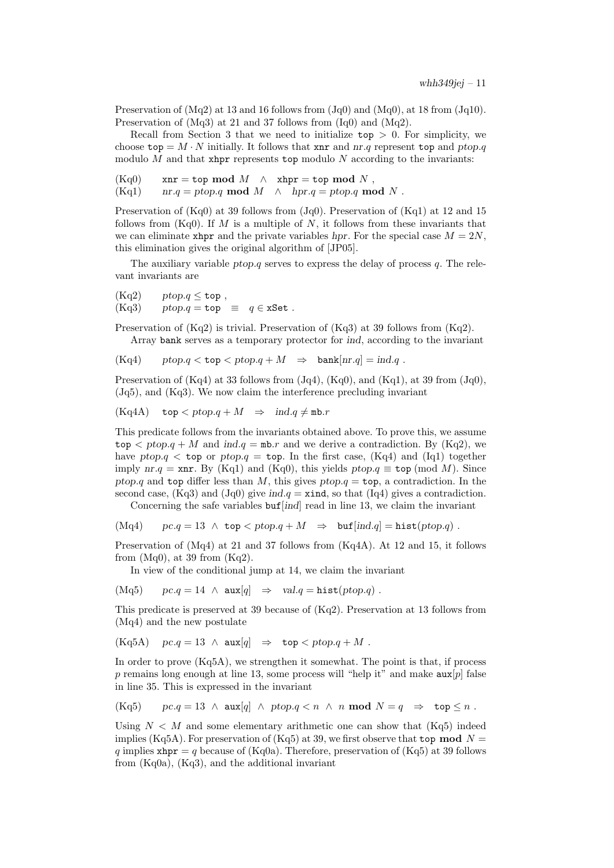Preservation of  $(Mq2)$  at 13 and 16 follows from  $(Jq0)$  and  $(Mq0)$ , at 18 from  $(Jq10)$ . Preservation of (Mq3) at 21 and 37 follows from (Iq0) and (Mq2).

Recall from Section 3 that we need to initialize top  $> 0$ . For simplicity, we choose  $top = M \cdot N$  initially. It follows that xnr and nr.q represent top and ptop.q modulo M and that  $x$ hpr represents top modulo N according to the invariants:

$$
(\mathrm{Kq0}) \qquad \texttt{xnr} = \texttt{top mod } M \quad \wedge \quad \texttt{xhpr} = \texttt{top mod } N \ ,
$$

(Kq1)  $nr.q = ptop.q \mod M \land \text{hpr}.q = ptop.q \mod N$ .

Preservation of  $(Kq0)$  at 39 follows from  $(Jq0)$ . Preservation of  $(Kq1)$  at 12 and 15 follows from  $(Kq0)$ . If M is a multiple of N, it follows from these invariants that we can eliminate xhpr and the private variables hpr. For the special case  $M = 2N$ , this elimination gives the original algorithm of [JP05].

The auxiliary variable *ptop.q* serves to express the delay of process  $q$ . The relevant invariants are

 $(Kq2)$  ptop. $q \leq \texttt{top}$ , (Kq3) ptop.q = top  $\equiv q \in x$ Set.

Preservation of  $(Kq2)$  is trivial. Preservation of  $(Kq3)$  at 39 follows from  $(Kq2)$ .

Array bank serves as a temporary protector for ind, according to the invariant

 $(Kq4)$  ptop.q < top < ptop.q + M  $\Rightarrow$  bank[nr.q] = ind.q.

Preservation of (Kq4) at 33 follows from (Jq4), (Kq0), and (Kq1), at 39 from (Jq0), (Jq5), and (Kq3). We now claim the interference precluding invariant

 $(Kq4A)$  top  $\lt$  ptop. $q + M \Rightarrow$  ind. $q \neq mb.r$ 

This predicate follows from the invariants obtained above. To prove this, we assume  $top < ptop.q + M$  and  $ind.q = mb.r$  and we derive a contradiction. By (Kq2), we have ptop.q  $\lt$  top or ptop.q = top. In the first case, (Kq4) and (Iq1) together imply  $nr.q = \text{snr}$ . By (Kq1) and (Kq0), this yields ptop. $q \equiv \text{top} \pmod{M}$ . Since ptop.q and top differ less than M, this gives ptop. $q = \text{top}$ , a contradiction. In the second case, (Kq3) and (Jq0) give  $ind.q = xind$ , so that (Iq4) gives a contradiction.

Concerning the safe variables  $\text{buf}[ind]$  read in line 13, we claim the invariant

 $(Mq4)$  pc.q = 13  $\land$  top  $< ptop.q + M \Rightarrow$  but  $[ind.q] = hist(ptop.q)$ .

Preservation of (Mq4) at 21 and 37 follows from (Kq4A). At 12 and 15, it follows from  $(Mq0)$ , at 39 from  $(Kq2)$ .

In view of the conditional jump at 14, we claim the invariant

$$
(Mq5) \t pc.q = 14 \wedge aux[q] \Rightarrow val.q = hist(ptop.q) .
$$

This predicate is preserved at 39 because of (Kq2). Preservation at 13 follows from (Mq4) and the new postulate

 $(Kq5A)$   $pc.q = 13 \land aux[q] \Rightarrow top < ptop.q + M$ .

In order to prove (Kq5A), we strengthen it somewhat. The point is that, if process  $p$  remains long enough at line 13, some process will "help it" and make  $\texttt{aux}[p]$  false in line 35. This is expressed in the invariant

$$
(Kq5) \qquad pc.q = 13 \ \wedge \ \mathsf{aux}[q] \ \wedge \ \mathsf{ptop}.q < n \ \wedge \ n \ \mathsf{mod} \ N = q \ \Rightarrow \ \mathsf{top} \leq n \ .
$$

Using  $N < M$  and some elementary arithmetic one can show that  $(Kq5)$  indeed implies (Kq5A). For preservation of (Kq5) at 39, we first observe that top mod  $N =$ q implies  $\texttt{xhpr} = q$  because of (Kq0a). Therefore, preservation of (Kq5) at 39 follows from  $(Kq0a)$ ,  $(Kq3)$ , and the additional invariant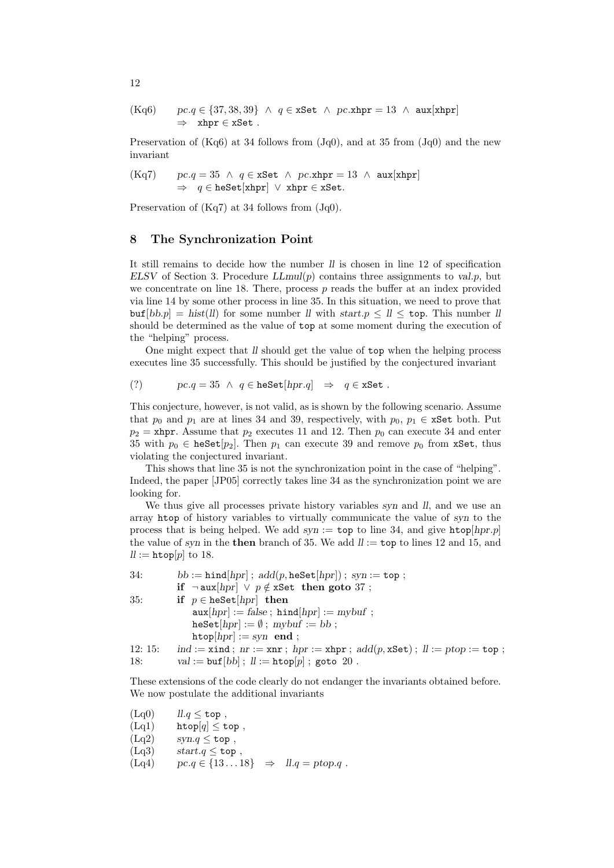(Kq6) 
$$
pc.q \in \{37,38,39\} \land q \in \text{xSet} \land pc.\text{xhpr} = 13 \land \text{aux}[\text{xhpr}]
$$
  
\n $\Rightarrow \text{xhpr} \in \text{xSet}.$ 

Preservation of  $(Kq6)$  at 34 follows from  $(Jq0)$ , and at 35 from  $(Jq0)$  and the new invariant

$$
\begin{array}{lll} \text{(Kq7)} & pc.q = 35 \ \land \ q \in \texttt{xSet} \ \land \ pc.\texttt{xhpr} = 13 \ \land \ \texttt{aux}[\texttt{xhpr}] \\ \Rightarrow \ q \in \texttt{heSet}[\texttt{xhpr}] \ \lor \ \texttt{xhpr} \in \texttt{xSet}. \end{array}
$$

Preservation of (Kq7) at 34 follows from (Jq0).

#### 8 The Synchronization Point

It still remains to decide how the number ll is chosen in line 12 of specification  $ELSV$  of Section 3. Procedure  $LLmul(p)$  contains three assignments to val.p, but we concentrate on line 18. There, process  $p$  reads the buffer at an index provided via line 14 by some other process in line 35. In this situation, we need to prove that  $\text{buf}[bb,p] = \text{hist}(ll)$  for some number ll with start. $p \leq ll \leq \text{top}$ . This number ll should be determined as the value of top at some moment during the execution of the "helping" process.

One might expect that ll should get the value of top when the helping process executes line 35 successfully. This should be justified by the conjectured invariant

(?) 
$$
pc.q = 35 \land q \in \text{heSet}[hpr.q] \Rightarrow q \in \text{xSet}.
$$

This conjecture, however, is not valid, as is shown by the following scenario. Assume that  $p_0$  and  $p_1$  are at lines 34 and 39, respectively, with  $p_0, p_1 \in \textbf{xSet}$  both. Put  $p_2$  = xhpr. Assume that  $p_2$  executes 11 and 12. Then  $p_0$  can execute 34 and enter 35 with  $p_0 \in \text{heSet}[p_2]$ . Then  $p_1$  can execute 39 and remove  $p_0$  from xSet, thus violating the conjectured invariant.

This shows that line 35 is not the synchronization point in the case of "helping". Indeed, the paper [JP05] correctly takes line 34 as the synchronization point we are looking for.

We thus give all processes private history variables syn and ll, and we use an array htop of history variables to virtually communicate the value of syn to the process that is being helped. We add  $syn := \text{top to line } 34$ , and give htop[hpr.p] the value of syn in the **then** branch of 35. We add  $ll = \text{top}$  to lines 12 and 15, and  $ll := \text{htop}[p]$  to 18.

| 34:    | $bb := \text{hind}[\text{hpr}]$ ; $add(p, \text{heSet}[\text{hpr}])$ ; $syn := \text{top}$ ; |
|--------|----------------------------------------------------------------------------------------------|
|        | if $\neg$ aux [hpr] $\lor$ p $\notin$ xSet then goto 37;                                     |
| 35:    | if $p \in \text{heSet}[hpr]$ then                                                            |
|        | $aux[hpr] := false$ ; hind[hpr] := mybuf ;                                                   |
|        | $\texttt{heSet}[hpr] := \emptyset$ ; $mybuf := bb$ ;                                         |
|        | $htop[hpr] := syn$ end;                                                                      |
| 12:15: | $ind := xind$ ; $nr := xnr$ ; $hpr := xhpr$ ; $add(p, xSet)$ ; $ll := ptop := top$ ;         |
| 18:    | $val := \text{buf}[bb]$ ; $ll := \text{htop}[p]$ ; goto 20.                                  |

These extensions of the code clearly do not endanger the invariants obtained before. We now postulate the additional invariants

| (Lq0) | $ll.q \leq$ top,                       |               |                   |
|-------|----------------------------------------|---------------|-------------------|
| (Lq1) | $\texttt{htop}[q] \leq \texttt{top}$ , |               |                   |
| (Lq2) | syn. $q \leq$ top,                     |               |                   |
| (Lq3) | start. $q \leq$ top,                   |               |                   |
| (Lq4) | $pc.q \in \{1318\}$                    | $\Rightarrow$ | $ll.q = ptop.q$ . |

12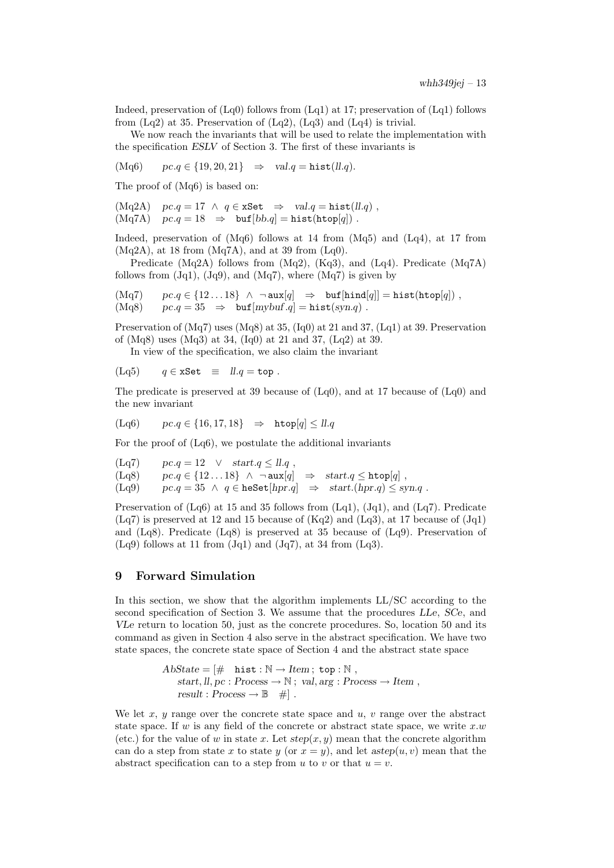Indeed, preservation of (Lq0) follows from (Lq1) at 17; preservation of (Lq1) follows from  $(Lq2)$  at 35. Preservation of  $(Lq2)$ ,  $(Lq3)$  and  $(Lq4)$  is trivial.

We now reach the invariants that will be used to relate the implementation with the specification ESLV of Section 3. The first of these invariants is

 $(Mq6)$   $pc.q \in \{19, 20, 21\}$   $\Rightarrow$   $val.q = \text{hist}(ll.q).$ 

The proof of (Mq6) is based on:

 $(Mq2A)$  pc.q = 17  $\land$  q  $\in$  xSet  $\Rightarrow$  val.q = hist(ll.q),  $(Mq7A)$   $pc.q = 18$   $\Rightarrow$   $buf[bb.q] = hist(htop[q])$ .

Indeed, preservation of (Mq6) follows at 14 from (Mq5) and (Lq4), at 17 from  $(Mq2A)$ , at 18 from  $(Mq7A)$ , and at 39 from  $(Lq0)$ .

Predicate (Mq2A) follows from (Mq2), (Kq3), and (Lq4). Predicate (Mq7A) follows from  $(Jq1)$ ,  $(Jq9)$ , and  $(Mq7)$ , where  $(Mq7)$  is given by

$$
\begin{array}{lll}\n(\text{Mq7}) & pc.q \in \{12\ldots 18\} \land \neg \text{ aux}[q] \Rightarrow \text{buf}[\text{hind}[q]] = \text{hist}(\text{htop}[q]) \, , \\
(\text{Mq8}) & pc.q = 35 \Rightarrow \text{buf}[\text{mybuf}.q] = \text{hist}(\text{syn}.q) \, .\n\end{array}
$$

Preservation of (Mq7) uses (Mq8) at 35, (Iq0) at 21 and 37, (Lq1) at 39. Preservation of (Mq8) uses (Mq3) at 34, (Iq0) at 21 and 37, (Lq2) at 39.

In view of the specification, we also claim the invariant

 $(Lq5)$  q ∈ xSet  $\equiv$   $ll.q =$  top.

The predicate is preserved at 39 because of (Lq0), and at 17 because of (Lq0) and the new invariant

 $(Lq6)$   $pc.q \in \{16,17,18\}$   $\Rightarrow$   $htop[q] \leq ll.q$ 

For the proof of (Lq6), we postulate the additional invariants

(Lq7)  $pc.q = 12 \quad \lor \quad start.q \leq ll.q$ ,  $(Lq8)$   $pc.q \in \{12...18\}$   $\wedge \neg \text{aux}[q] \Rightarrow start.q \leq \text{htop}[q]$ ,  $(Lq9)$  pc.q = 35  $\land$  q  $\in$  heSet[hpr.q]  $\Rightarrow$  start.(hpr.q)  $\leq$  syn.q.

Preservation of  $(Lq6)$  at 15 and 35 follows from  $(Lq1)$ ,  $(Jq1)$ , and  $(Lq7)$ . Predicate  $(Lq7)$  is preserved at 12 and 15 because of  $(Kq2)$  and  $(Lq3)$ , at 17 because of  $(Jq1)$ and (Lq8). Predicate (Lq8) is preserved at 35 because of (Lq9). Preservation of  $(Lq9)$  follows at 11 from  $(Jq1)$  and  $(Jq7)$ , at 34 from  $(Lq3)$ .

## 9 Forward Simulation

In this section, we show that the algorithm implements LL/SC according to the second specification of Section 3. We assume that the procedures LLe, SCe, and VLe return to location 50, just as the concrete procedures. So, location 50 and its command as given in Section 4 also serve in the abstract specification. We have two state spaces, the concrete state space of Section 4 and the abstract state space

> $AbState = [\# \text{hist}: \mathbb{N} \rightarrow Item; \text{top}: \mathbb{N},$ start, ll, pc : Process  $\rightarrow \mathbb{N}$ ; val, arg : Process  $\rightarrow$  Item,  $result : Process \rightarrow \mathbb{B} \quad #$ .

We let  $x, y$  range over the concrete state space and  $u, v$  range over the abstract state space. If w is any field of the concrete or abstract state space, we write  $x.w$ (etc.) for the value of w in state x. Let  $step(x, y)$  mean that the concrete algorithm can do a step from state x to state y (or  $x = y$ ), and let  $\text{astep}(u, v)$  mean that the abstract specification can to a step from u to v or that  $u = v$ .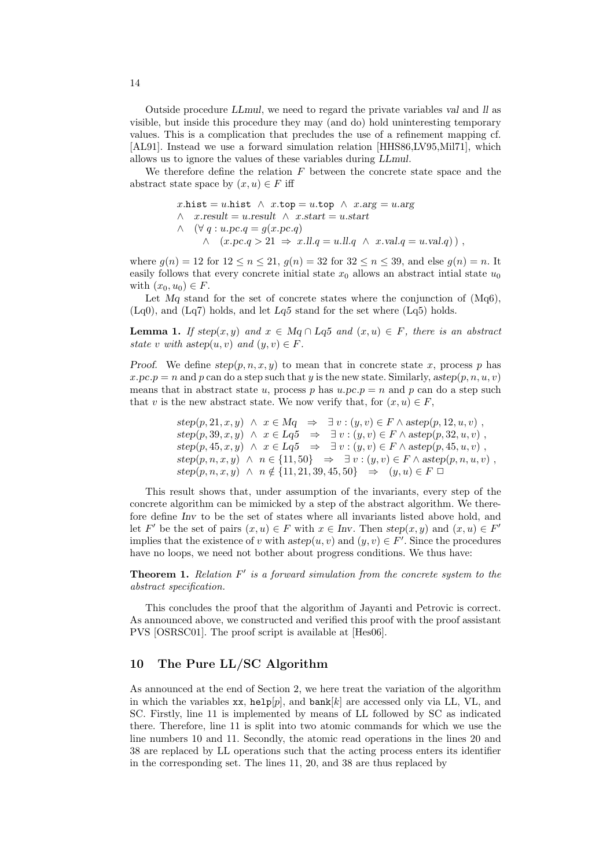Outside procedure LLmul, we need to regard the private variables val and ll as visible, but inside this procedure they may (and do) hold uninteresting temporary values. This is a complication that precludes the use of a refinement mapping cf. [AL91]. Instead we use a forward simulation relation [HHS86,LV95,Mil71], which allows us to ignore the values of these variables during LLmul.

We therefore define the relation  $F$  between the concrete state space and the abstract state space by  $(x, u) \in F$  iff

$$
x.\mathtt{hist} = u.\mathtt{hist} \ \wedge \ x.\mathtt{top} = u.\mathtt{top} \ \wedge \ x.\mathtt{arg} = u.\mathtt{arg}
$$
  
\n
$$
\wedge \ x.\mathtt{result} = u.\mathtt{result} \ \wedge \ x.\mathtt{start} = u.\mathtt{start}
$$
  
\n
$$
\wedge \ (\forall \ q : u.\mathtt{pc}.q = g(x.\mathtt{pc}.q)
$$
  
\n
$$
\wedge \ (x.\mathtt{pc}.q > 21 \ \Rightarrow \ x.\mathtt{ll}.q = u.\mathtt{ll}.q \ \wedge \ x.\mathtt{val}.q = u.\mathtt{val}.q) ) ,
$$

where  $g(n) = 12$  for  $12 \le n \le 21$ ,  $g(n) = 32$  for  $32 \le n \le 39$ , and else  $g(n) = n$ . It easily follows that every concrete initial state  $x_0$  allows an abstract intial state  $u_0$ with  $(x_0, u_0) \in F$ .

Let  $Mq$  stand for the set of concrete states where the conjunction of  $(Mq6)$ ,  $(Lq0)$ , and  $(Lq7)$  holds, and let  $Lq5$  stand for the set where  $(Lq5)$  holds.

**Lemma 1.** If step $(x, y)$  and  $x \in M_q \cap L_q$  and  $(x, u) \in F$ , there is an abstract state v with astep $(u, v)$  and  $(y, v) \in F$ .

Proof. We define  $step(p, n, x, y)$  to mean that in concrete state x, process p has  $x.pc.p = n$  and p can do a step such that y is the new state. Similarly, astep $(p, n, u, v)$ means that in abstract state u, process p has  $u, pc, p = n$  and p can do a step such that v is the new abstract state. We now verify that, for  $(x, u) \in F$ ,

step(p, 21, x, y) 
$$
\land
$$
 x  $\in$  Mq  $\Rightarrow$   $\exists v : (y, v) \in F \land \text{astep}(p, 12, u, v)$ ,  
\nstep(p, 39, x, y)  $\land$  x  $\in$  Lq5  $\Rightarrow$   $\exists v : (y, v) \in F \land \text{astep}(p, 32, u, v)$ ,  
\nstep(p, 45, x, y)  $\land$  x  $\in$  Lq5  $\Rightarrow$   $\exists v : (y, v) \in F \land \text{astep}(p, 45, u, v)$ ,  
\nstep(p, n, x, y)  $\land$  n  $\in$  {11, 50}  $\Rightarrow$   $\exists v : (y, v) \in F \land \text{astep}(p, n, u, v)$ ,  
\nstep(p, n, x, y)  $\land$  n  $\notin$  {11, 21, 39, 45, 50}  $\Rightarrow$  (y, u)  $\in$  F  $\Box$ 

This result shows that, under assumption of the invariants, every step of the concrete algorithm can be mimicked by a step of the abstract algorithm. We therefore define Inv to be the set of states where all invariants listed above hold, and let F' be the set of pairs  $(x, u) \in F$  with  $x \in Inv$ . Then  $step(x, y)$  and  $(x, u) \in F'$ implies that the existence of v with  $astep(u, v)$  and  $(y, v) \in F'$ . Since the procedures have no loops, we need not bother about progress conditions. We thus have:

**Theorem 1.** Relation  $F'$  is a forward simulation from the concrete system to the abstract specification.

This concludes the proof that the algorithm of Jayanti and Petrovic is correct. As announced above, we constructed and verified this proof with the proof assistant PVS [OSRSC01]. The proof script is available at [Hes06].

## 10 The Pure LL/SC Algorithm

As announced at the end of Section 2, we here treat the variation of the algorithm in which the variables  $xx$ , help $[p]$ , and bank $[k]$  are accessed only via LL, VL, and SC. Firstly, line 11 is implemented by means of LL followed by SC as indicated there. Therefore, line 11 is split into two atomic commands for which we use the line numbers 10 and 11. Secondly, the atomic read operations in the lines 20 and 38 are replaced by LL operations such that the acting process enters its identifier in the corresponding set. The lines 11, 20, and 38 are thus replaced by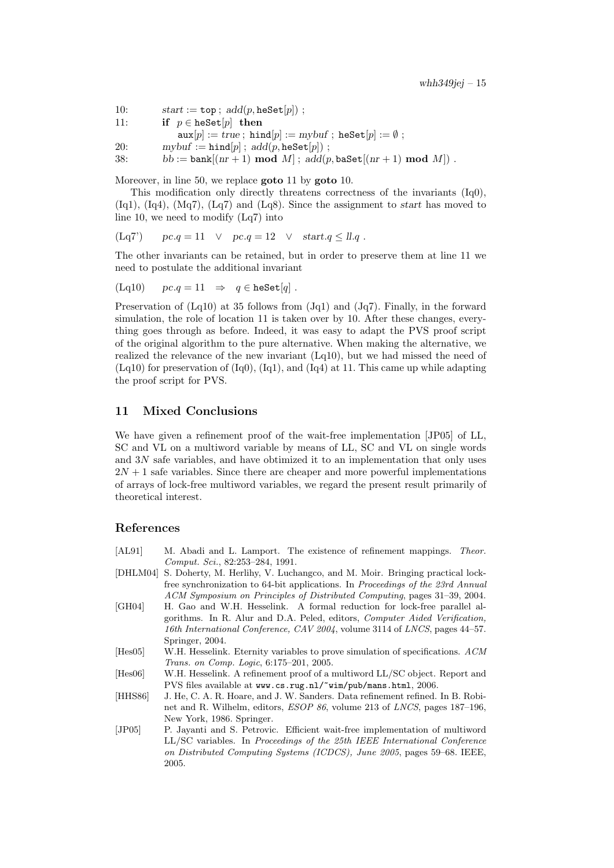| 10: | $start := \texttt{top}$ ; $add(p, \texttt{heSet}[p])$ ;                                      |
|-----|----------------------------------------------------------------------------------------------|
| 11: | if $p \in \text{heSet}[p]$ then                                                              |
|     | $\text{aux}[p] := true$ ; $\text{hind}[p] := mybuf$ ; $\text{hesSet}[p] := \emptyset$ ;      |
| 20: | $mybuf := \text{hind}[p]$ ; $add(p, \text{heSet}[p])$ ;                                      |
| 38: | $bb := \text{bank}[(nr + 1) \text{ mod } M]; add(p, \text{baset}[(nr + 1) \text{ mod } M]).$ |

Moreover, in line 50, we replace goto 11 by goto 10.

This modification only directly threatens correctness of the invariants (Iq0),  $(Iq1)$ ,  $(Iq4)$ ,  $(Mq7)$ ,  $(Lq7)$  and  $(Lq8)$ . Since the assignment to start has moved to line 10, we need to modify (Lq7) into

$$
(Lq7) \t pc.q = 11 \vee pc.q = 12 \vee start.q \leq ll.q.
$$

The other invariants can be retained, but in order to preserve them at line 11 we need to postulate the additional invariant

$$
(Lq10) \t pc.q = 11 \Rightarrow q \in \text{heSet}[q].
$$

Preservation of (Lq10) at 35 follows from (Jq1) and (Jq7). Finally, in the forward simulation, the role of location 11 is taken over by 10. After these changes, everything goes through as before. Indeed, it was easy to adapt the PVS proof script of the original algorithm to the pure alternative. When making the alternative, we realized the relevance of the new invariant (Lq10), but we had missed the need of (Lq10) for preservation of (Iq0), (Iq1), and (Iq4) at 11. This came up while adapting the proof script for PVS.

## 11 Mixed Conclusions

We have given a refinement proof of the wait-free implementation [JP05] of LL, SC and VL on a multiword variable by means of LL, SC and VL on single words and 3N safe variables, and have obtimized it to an implementation that only uses  $2N + 1$  safe variables. Since there are cheaper and more powerful implementations of arrays of lock-free multiword variables, we regard the present result primarily of theoretical interest.

## References

- [AL91] M. Abadi and L. Lamport. The existence of refinement mappings. Theor. Comput. Sci., 82:253–284, 1991.
- [DHLM04] S. Doherty, M. Herlihy, V. Luchangco, and M. Moir. Bringing practical lockfree synchronization to 64-bit applications. In Proceedings of the 23rd Annual ACM Symposium on Principles of Distributed Computing, pages 31–39, 2004.
- [GH04] H. Gao and W.H. Hesselink. A formal reduction for lock-free parallel algorithms. In R. Alur and D.A. Peled, editors, Computer Aided Verification, 16th International Conference, CAV 2004, volume 3114 of LNCS, pages 44–57. Springer, 2004.
- [Hes05] W.H. Hesselink. Eternity variables to prove simulation of specifications. ACM Trans. on Comp. Logic, 6:175–201, 2005.
- [Hes06] W.H. Hesselink. A refinement proof of a multiword LL/SC object. Report and PVS files available at www.cs.rug.nl/~wim/pub/mans.html, 2006.
- [HHS86] J. He, C. A. R. Hoare, and J. W. Sanders. Data refinement refined. In B. Robinet and R. Wilhelm, editors, ESOP 86, volume 213 of LNCS, pages 187–196, New York, 1986. Springer.
- [JP05] P. Jayanti and S. Petrovic. Efficient wait-free implementation of multiword LL/SC variables. In Proceedings of the 25th IEEE International Conference on Distributed Computing Systems (ICDCS), June 2005, pages 59–68. IEEE, 2005.